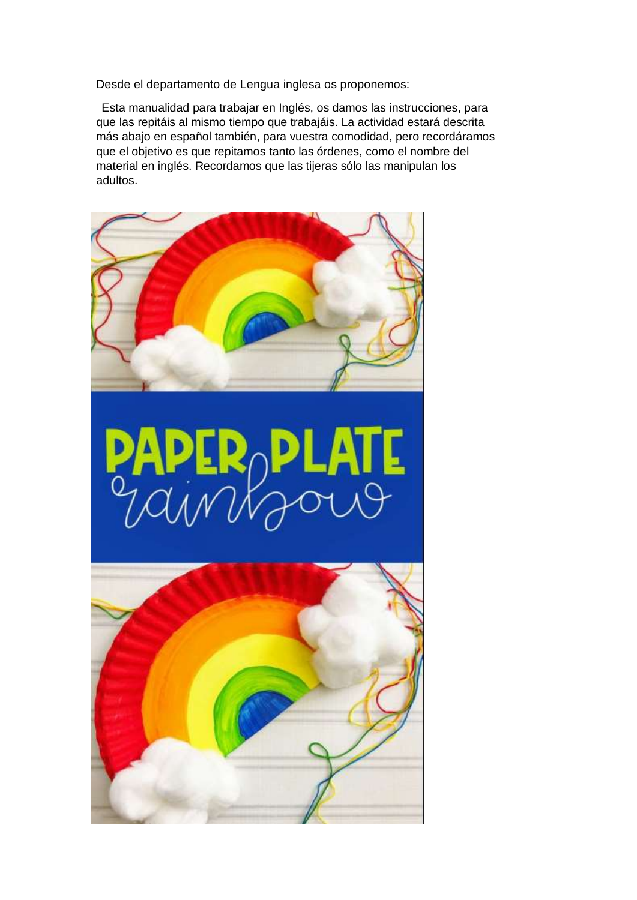Desde el departamento de Lengua inglesa os proponemos:

Esta manualidad para trabajar en Inglés, os damos las instrucciones, para que las repitáis al mismo tiempo que trabajáis. La actividad estará descrita más abajo en español también, para vuestra comodidad, pero recordáramos que el objetivo es que repitamos tanto las órdenes, como el nombre del material en inglés. Recordamos que las tijeras sólo las manipulan los adultos.

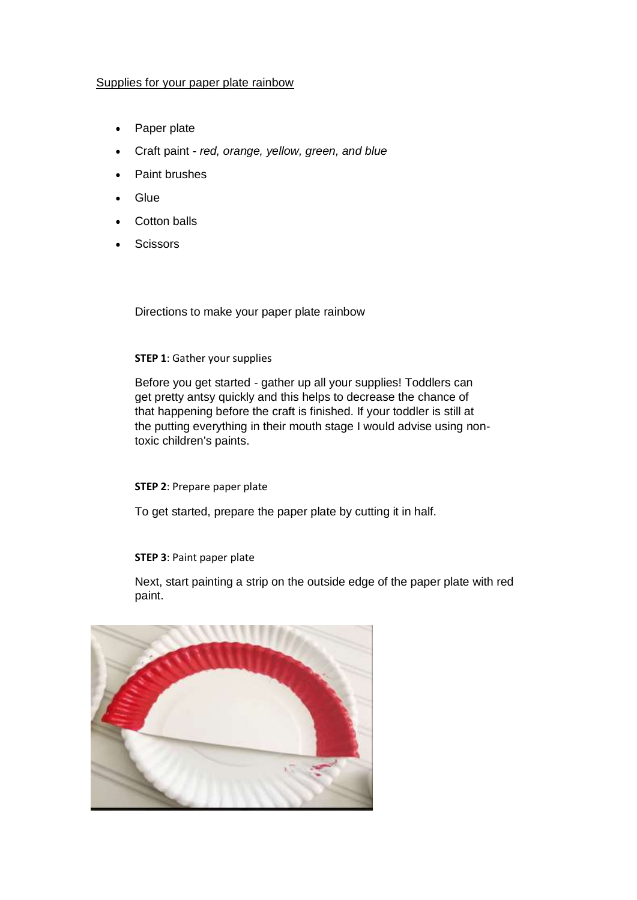## Supplies for your paper plate rainbow

- Paper plate
- Craft paint *red, orange, yellow, green, and blue*
- Paint brushes
- Glue
- Cotton balls
- **Scissors**

Directions to make your paper plate rainbow

## **STEP 1**: Gather your supplies

Before you get started - gather up all your supplies! Toddlers can get pretty antsy quickly and this helps to decrease the chance of that happening before the craft is finished. If your toddler is still at the putting everything in their mouth stage I would advise using nontoxic children's paints.

## **STEP 2**: Prepare paper plate

To get started, prepare the paper plate by cutting it in half.

## **STEP 3**: Paint paper plate

Next, start painting a strip on the outside edge of the paper plate with red paint.